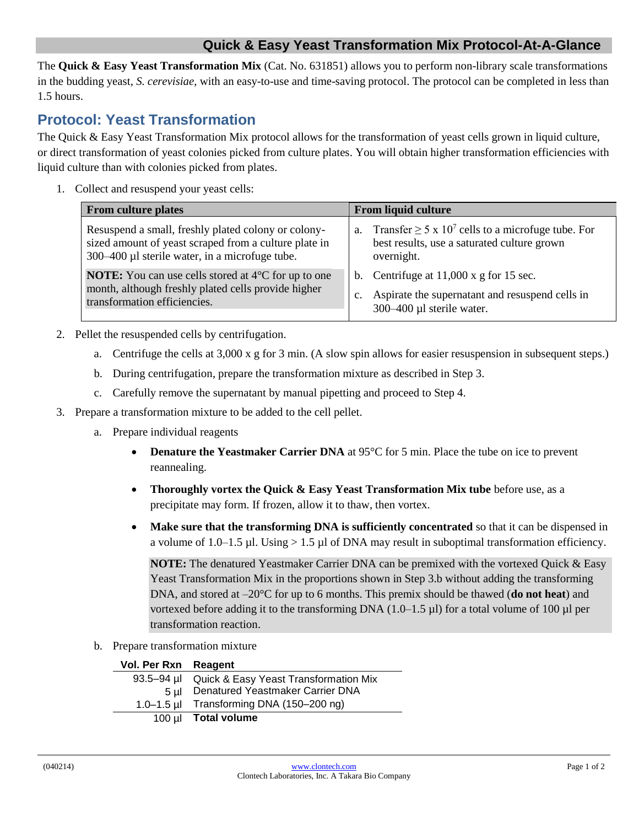## **Quick & Easy Yeast Transformation Mix Protocol-At-A-Glance**

The **Quick & Easy Yeast Transformation Mix** (Cat. No. 631851) allows you to perform non-library scale transformations in the budding yeast, *S. cerevisiae*, with an easy-to-use and time-saving protocol. The protocol can be completed in less than 1.5 hours.

## **Protocol: Yeast Transformation**

The Quick & Easy Yeast Transformation Mix protocol allows for the transformation of yeast cells grown in liquid culture, or direct transformation of yeast colonies picked from culture plates. You will obtain higher transformation efficiencies with liquid culture than with colonies picked from plates.

1. Collect and resuspend your yeast cells:

| <b>From culture plates</b>                                                                                                                                     | <b>From liquid culture</b>                                                                                                                          |
|----------------------------------------------------------------------------------------------------------------------------------------------------------------|-----------------------------------------------------------------------------------------------------------------------------------------------------|
| Resuspend a small, freshly plated colony or colony-<br>sized amount of yeast scraped from a culture plate in<br>300–400 µl sterile water, in a microfuge tube. | Transfer $\geq 5 \times 10^7$ cells to a microfuge tube. For<br>a.<br>best results, use a saturated culture grown<br>overnight.                     |
| <b>NOTE:</b> You can use cells stored at $4^{\circ}$ C for up to one<br>month, although freshly plated cells provide higher<br>transformation efficiencies.    | Centrifuge at $11,000 \times g$ for 15 sec.<br>$\mathbf{b}$ .<br>Aspirate the supernatant and resuspend cells in<br>c.<br>300–400 µl sterile water. |

- 2. Pellet the resuspended cells by centrifugation.
	- a. Centrifuge the cells at 3,000 x g for 3 min. (A slow spin allows for easier resuspension in subsequent steps.)
	- b. During centrifugation, prepare the transformation mixture as described in Step 3.
	- c. Carefully remove the supernatant by manual pipetting and proceed to Step 4.
- 3. Prepare a transformation mixture to be added to the cell pellet.
	- a. Prepare individual reagents
		- **Denature the Yeastmaker Carrier DNA** at 95°C for 5 min. Place the tube on ice to prevent reannealing.
		- **Thoroughly vortex the Quick & Easy Yeast Transformation Mix tube** before use, as a precipitate may form. If frozen, allow it to thaw, then vortex.
		- Make sure that the transforming DNA is sufficiently concentrated so that it can be dispensed in a volume of 1.0–1.5 µl. Using  $> 1.5$  µl of DNA may result in suboptimal transformation efficiency.

**NOTE:** The denatured Yeastmaker Carrier DNA can be premixed with the vortexed Quick & Easy Yeast Transformation Mix in the proportions shown in Step 3.b without adding the transforming DNA, and stored at –20°C for up to 6 months. This premix should be thawed (**do not heat**) and vortexed before adding it to the transforming DNA  $(1.0-1.5 \text{ µ})$  for a total volume of 100  $\text{µ}$  per transformation reaction.

b. Prepare transformation mixture

| Vol. Per Rxn Reagent |                                                    |
|----------------------|----------------------------------------------------|
|                      | 93.5-94 µl Quick & Easy Yeast Transformation Mix   |
| 5 ul –               | Denatured Yeastmaker Carrier DNA                   |
|                      | 1.0–1.5 µl Transforming DNA $(150-200 \text{ ng})$ |
|                      | 100 µl Total volume                                |